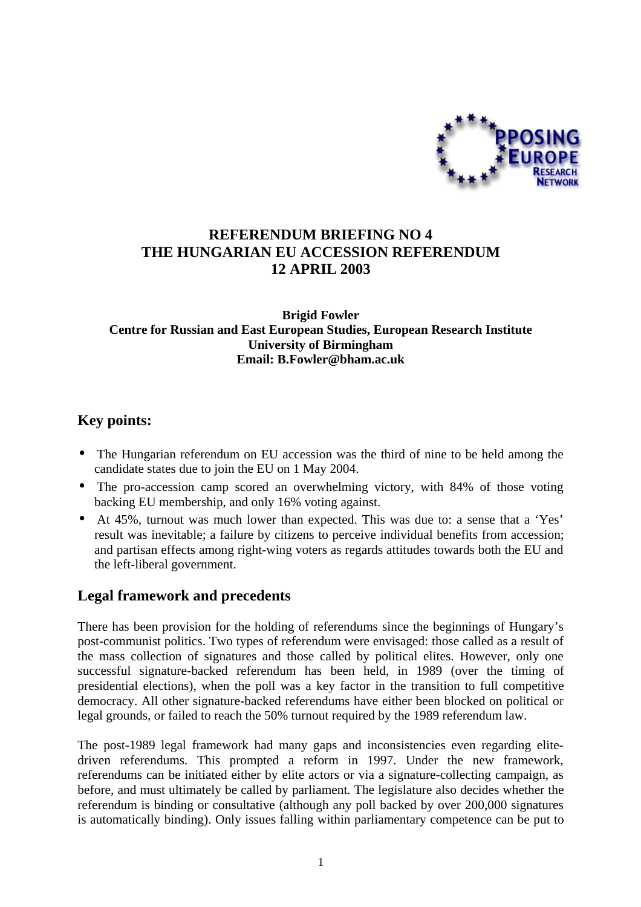

# **REFERENDUM BRIEFING NO 4 THE HUNGARIAN EU ACCESSION REFERENDUM 12 APRIL 2003**

#### **Brigid Fowler Centre for Russian and East European Studies, European Research Institute University of Birmingham Email: B.Fowler@bham.ac.uk**

#### **Key points:**

- The Hungarian referendum on EU accession was the third of nine to be held among the candidate states due to join the EU on 1 May 2004.
- The pro-accession camp scored an overwhelming victory, with 84% of those voting backing EU membership, and only 16% voting against.
- At 45%, turnout was much lower than expected. This was due to: a sense that a 'Yes' result was inevitable; a failure by citizens to perceive individual benefits from accession; and partisan effects among right-wing voters as regards attitudes towards both the EU and the left-liberal government.

# **Legal framework and precedents**

There has been provision for the holding of referendums since the beginnings of Hungary's post-communist politics. Two types of referendum were envisaged: those called as a result of the mass collection of signatures and those called by political elites. However, only one successful signature-backed referendum has been held, in 1989 (over the timing of presidential elections), when the poll was a key factor in the transition to full competitive democracy. All other signature-backed referendums have either been blocked on political or legal grounds, or failed to reach the 50% turnout required by the 1989 referendum law.

The post-1989 legal framework had many gaps and inconsistencies even regarding elitedriven referendums. This prompted a reform in 1997. Under the new framework, referendums can be initiated either by elite actors or via a signature-collecting campaign, as before, and must ultimately be called by parliament. The legislature also decides whether the referendum is binding or consultative (although any poll backed by over 200,000 signatures is automatically binding). Only issues falling within parliamentary competence can be put to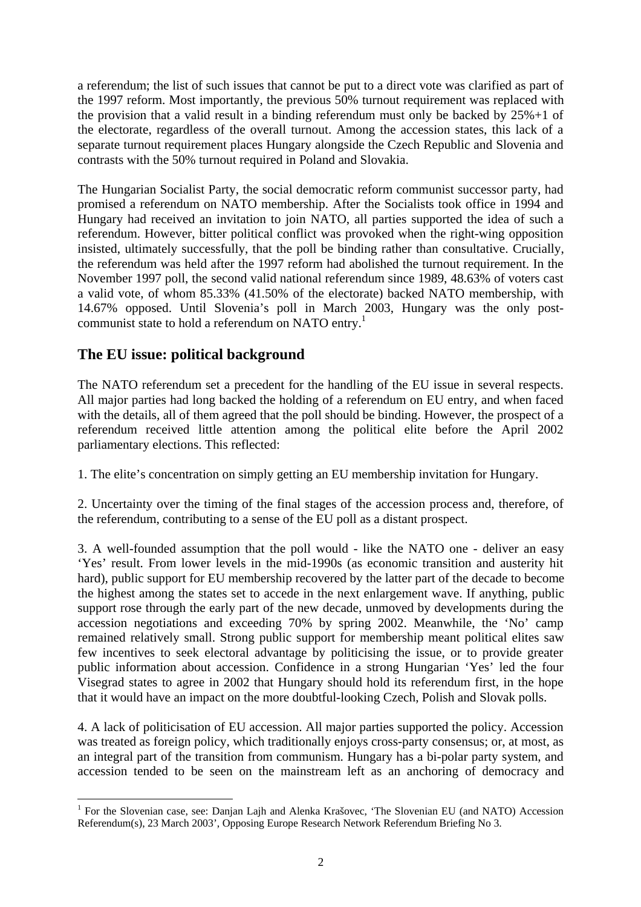a referendum; the list of such issues that cannot be put to a direct vote was clarified as part of the 1997 reform. Most importantly, the previous 50% turnout requirement was replaced with the provision that a valid result in a binding referendum must only be backed by 25%+1 of the electorate, regardless of the overall turnout. Among the accession states, this lack of a separate turnout requirement places Hungary alongside the Czech Republic and Slovenia and contrasts with the 50% turnout required in Poland and Slovakia.

The Hungarian Socialist Party, the social democratic reform communist successor party, had promised a referendum on NATO membership. After the Socialists took office in 1994 and Hungary had received an invitation to join NATO, all parties supported the idea of such a referendum. However, bitter political conflict was provoked when the right-wing opposition insisted, ultimately successfully, that the poll be binding rather than consultative. Crucially, the referendum was held after the 1997 reform had abolished the turnout requirement. In the November 1997 poll, the second valid national referendum since 1989, 48.63% of voters cast a valid vote, of whom 85.33% (41.50% of the electorate) backed NATO membership, with 14.67% opposed. Until Slovenia's poll in March 2003, Hungary was the only postcommunist state to hold a referendum on NATO entry.<sup>1</sup>

# **The EU issue: political background**

 $\overline{a}$ 

The NATO referendum set a precedent for the handling of the EU issue in several respects. All major parties had long backed the holding of a referendum on EU entry, and when faced with the details, all of them agreed that the poll should be binding. However, the prospect of a referendum received little attention among the political elite before the April 2002 parliamentary elections. This reflected:

1. The elite's concentration on simply getting an EU membership invitation for Hungary.

2. Uncertainty over the timing of the final stages of the accession process and, therefore, of the referendum, contributing to a sense of the EU poll as a distant prospect.

3. A well-founded assumption that the poll would - like the NATO one - deliver an easy 'Yes' result. From lower levels in the mid-1990s (as economic transition and austerity hit hard), public support for EU membership recovered by the latter part of the decade to become the highest among the states set to accede in the next enlargement wave. If anything, public support rose through the early part of the new decade, unmoved by developments during the accession negotiations and exceeding 70% by spring 2002. Meanwhile, the 'No' camp remained relatively small. Strong public support for membership meant political elites saw few incentives to seek electoral advantage by politicising the issue, or to provide greater public information about accession. Confidence in a strong Hungarian 'Yes' led the four Visegrad states to agree in 2002 that Hungary should hold its referendum first, in the hope that it would have an impact on the more doubtful-looking Czech, Polish and Slovak polls.

4. A lack of politicisation of EU accession. All major parties supported the policy. Accession was treated as foreign policy, which traditionally enjoys cross-party consensus; or, at most, as an integral part of the transition from communism. Hungary has a bi-polar party system, and accession tended to be seen on the mainstream left as an anchoring of democracy and

<sup>&</sup>lt;sup>1</sup> For the Slovenian case, see: Danjan Lajh and Alenka Krašovec, 'The Slovenian EU (and NATO) Accession Referendum(s), 23 March 2003', Opposing Europe Research Network Referendum Briefing No 3.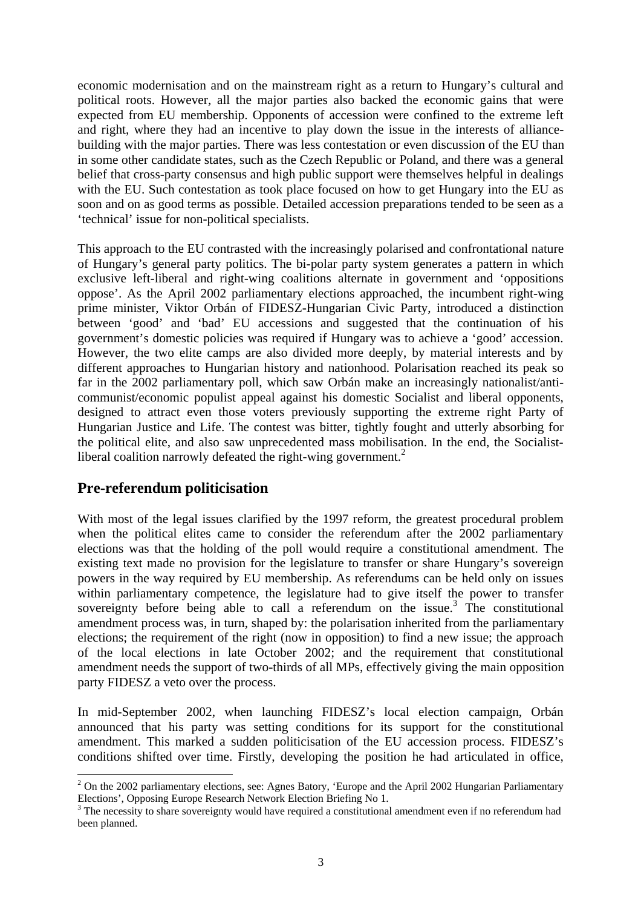economic modernisation and on the mainstream right as a return to Hungary's cultural and political roots. However, all the major parties also backed the economic gains that were expected from EU membership. Opponents of accession were confined to the extreme left and right, where they had an incentive to play down the issue in the interests of alliancebuilding with the major parties. There was less contestation or even discussion of the EU than in some other candidate states, such as the Czech Republic or Poland, and there was a general belief that cross-party consensus and high public support were themselves helpful in dealings with the EU. Such contestation as took place focused on how to get Hungary into the EU as soon and on as good terms as possible. Detailed accession preparations tended to be seen as a 'technical' issue for non-political specialists.

This approach to the EU contrasted with the increasingly polarised and confrontational nature of Hungary's general party politics. The bi-polar party system generates a pattern in which exclusive left-liberal and right-wing coalitions alternate in government and 'oppositions oppose'. As the April 2002 parliamentary elections approached, the incumbent right-wing prime minister, Viktor Orbán of FIDESZ-Hungarian Civic Party, introduced a distinction between 'good' and 'bad' EU accessions and suggested that the continuation of his government's domestic policies was required if Hungary was to achieve a 'good' accession. However, the two elite camps are also divided more deeply, by material interests and by different approaches to Hungarian history and nationhood. Polarisation reached its peak so far in the 2002 parliamentary poll, which saw Orbán make an increasingly nationalist/anticommunist/economic populist appeal against his domestic Socialist and liberal opponents, designed to attract even those voters previously supporting the extreme right Party of Hungarian Justice and Life. The contest was bitter, tightly fought and utterly absorbing for the political elite, and also saw unprecedented mass mobilisation. In the end, the Socialistliberal coalition narrowly defeated the right-wing government. $<sup>2</sup>$ </sup>

#### **Pre-referendum politicisation**

With most of the legal issues clarified by the 1997 reform, the greatest procedural problem when the political elites came to consider the referendum after the 2002 parliamentary elections was that the holding of the poll would require a constitutional amendment. The existing text made no provision for the legislature to transfer or share Hungary's sovereign powers in the way required by EU membership. As referendums can be held only on issues within parliamentary competence, the legislature had to give itself the power to transfer sovereignty before being able to call a referendum on the issue.<sup>3</sup> The constitutional amendment process was, in turn, shaped by: the polarisation inherited from the parliamentary elections; the requirement of the right (now in opposition) to find a new issue; the approach of the local elections in late October 2002; and the requirement that constitutional amendment needs the support of two-thirds of all MPs, effectively giving the main opposition party FIDESZ a veto over the process.

In mid-September 2002, when launching FIDESZ's local election campaign, Orbán announced that his party was setting conditions for its support for the constitutional amendment. This marked a sudden politicisation of the EU accession process. FIDESZ's conditions shifted over time. Firstly, developing the position he had articulated in office,

<sup>&</sup>lt;sup>2</sup> On the 2002 parliamentary elections, see: Agnes Batory, 'Europe and the April 2002 Hungarian Parliamentary Elections', Opposing Europe Research Network Election Briefing No 1.

 $3$  The necessity to share sovereignty would have required a constitutional amendment even if no referendum had been planned.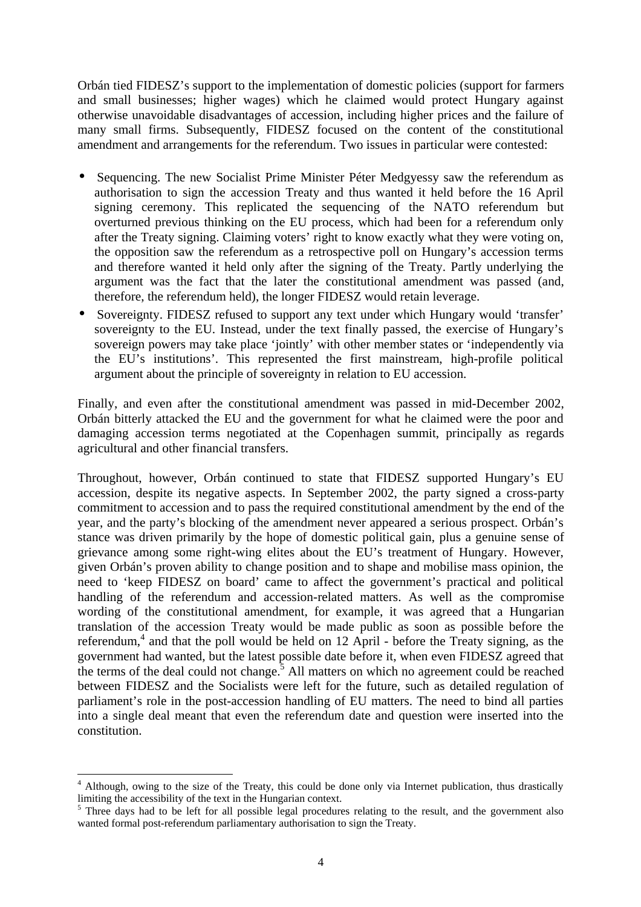Orbán tied FIDESZ's support to the implementation of domestic policies (support for farmers and small businesses; higher wages) which he claimed would protect Hungary against otherwise unavoidable disadvantages of accession, including higher prices and the failure of many small firms. Subsequently, FIDESZ focused on the content of the constitutional amendment and arrangements for the referendum. Two issues in particular were contested:

- Sequencing. The new Socialist Prime Minister Péter Medgyessy saw the referendum as authorisation to sign the accession Treaty and thus wanted it held before the 16 April signing ceremony. This replicated the sequencing of the NATO referendum but overturned previous thinking on the EU process, which had been for a referendum only after the Treaty signing. Claiming voters' right to know exactly what they were voting on, the opposition saw the referendum as a retrospective poll on Hungary's accession terms and therefore wanted it held only after the signing of the Treaty. Partly underlying the argument was the fact that the later the constitutional amendment was passed (and, therefore, the referendum held), the longer FIDESZ would retain leverage.
- Sovereignty. FIDESZ refused to support any text under which Hungary would 'transfer' sovereignty to the EU. Instead, under the text finally passed, the exercise of Hungary's sovereign powers may take place 'jointly' with other member states or 'independently via the EU's institutions'. This represented the first mainstream, high-profile political argument about the principle of sovereignty in relation to EU accession.

Finally, and even after the constitutional amendment was passed in mid-December 2002, Orbán bitterly attacked the EU and the government for what he claimed were the poor and damaging accession terms negotiated at the Copenhagen summit, principally as regards agricultural and other financial transfers.

Throughout, however, Orbán continued to state that FIDESZ supported Hungary's EU accession, despite its negative aspects. In September 2002, the party signed a cross-party commitment to accession and to pass the required constitutional amendment by the end of the year, and the party's blocking of the amendment never appeared a serious prospect. Orbán's stance was driven primarily by the hope of domestic political gain, plus a genuine sense of grievance among some right-wing elites about the EU's treatment of Hungary. However, given Orbán's proven ability to change position and to shape and mobilise mass opinion, the need to 'keep FIDESZ on board' came to affect the government's practical and political handling of the referendum and accession-related matters. As well as the compromise wording of the constitutional amendment, for example, it was agreed that a Hungarian translation of the accession Treaty would be made public as soon as possible before the referendum,<sup>4</sup> and that the poll would be held on 12 April - before the Treaty signing, as the government had wanted, but the latest possible date before it, when even FIDESZ agreed that the terms of the deal could not change.<sup>5</sup> All matters on which no agreement could be reached between FIDESZ and the Socialists were left for the future, such as detailed regulation of parliament's role in the post-accession handling of EU matters. The need to bind all parties into a single deal meant that even the referendum date and question were inserted into the constitution.

<sup>&</sup>lt;sup>4</sup> Although, owing to the size of the Treaty, this could be done only via Internet publication, thus drastically limiting the accessibility of the text in the Hungarian context.

<sup>&</sup>lt;sup>5</sup> Three days had to be left for all possible legal procedures relating to the result, and the government also wanted formal post-referendum parliamentary authorisation to sign the Treaty.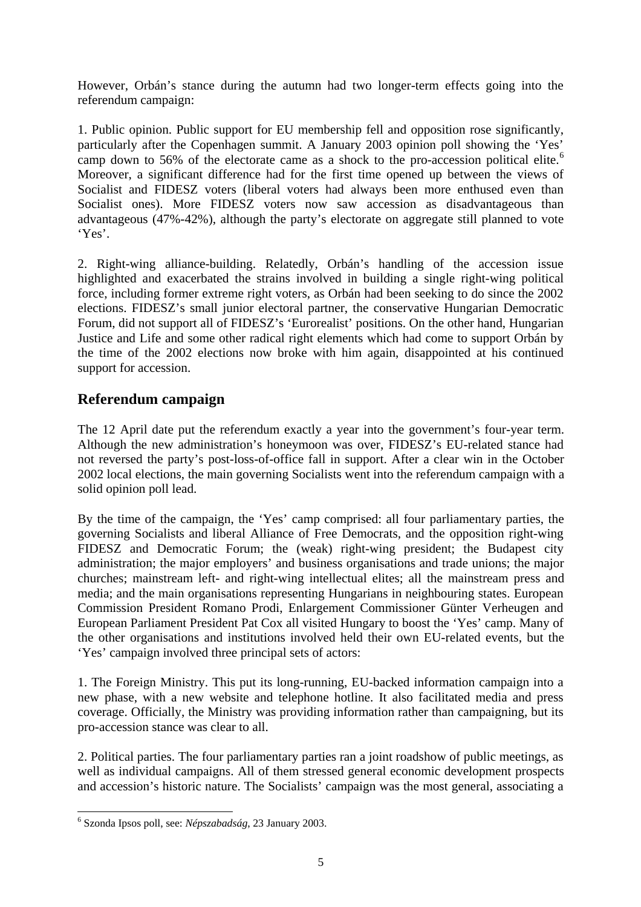However, Orbán's stance during the autumn had two longer-term effects going into the referendum campaign:

1. Public opinion. Public support for EU membership fell and opposition rose significantly, particularly after the Copenhagen summit. A January 2003 opinion poll showing the 'Yes' camp down to 56% of the electorate came as a shock to the pro-accession political elite.<sup>6</sup> Moreover, a significant difference had for the first time opened up between the views of Socialist and FIDESZ voters (liberal voters had always been more enthused even than Socialist ones). More FIDESZ voters now saw accession as disadvantageous than advantageous (47%-42%), although the party's electorate on aggregate still planned to vote 'Yes'.

2. Right-wing alliance-building. Relatedly, Orbán's handling of the accession issue highlighted and exacerbated the strains involved in building a single right-wing political force, including former extreme right voters, as Orbán had been seeking to do since the 2002 elections. FIDESZ's small junior electoral partner, the conservative Hungarian Democratic Forum, did not support all of FIDESZ's 'Eurorealist' positions. On the other hand, Hungarian Justice and Life and some other radical right elements which had come to support Orbán by the time of the 2002 elections now broke with him again, disappointed at his continued support for accession.

# **Referendum campaign**

The 12 April date put the referendum exactly a year into the government's four-year term. Although the new administration's honeymoon was over, FIDESZ's EU-related stance had not reversed the party's post-loss-of-office fall in support. After a clear win in the October 2002 local elections, the main governing Socialists went into the referendum campaign with a solid opinion poll lead.

By the time of the campaign, the 'Yes' camp comprised: all four parliamentary parties, the governing Socialists and liberal Alliance of Free Democrats, and the opposition right-wing FIDESZ and Democratic Forum; the (weak) right-wing president; the Budapest city administration; the major employers' and business organisations and trade unions; the major churches; mainstream left- and right-wing intellectual elites; all the mainstream press and media; and the main organisations representing Hungarians in neighbouring states. European Commission President Romano Prodi, Enlargement Commissioner Günter Verheugen and European Parliament President Pat Cox all visited Hungary to boost the 'Yes' camp. Many of the other organisations and institutions involved held their own EU-related events, but the 'Yes' campaign involved three principal sets of actors:

1. The Foreign Ministry. This put its long-running, EU-backed information campaign into a new phase, with a new website and telephone hotline. It also facilitated media and press coverage. Officially, the Ministry was providing information rather than campaigning, but its pro-accession stance was clear to all.

2. Political parties. The four parliamentary parties ran a joint roadshow of public meetings, as well as individual campaigns. All of them stressed general economic development prospects and accession's historic nature. The Socialists' campaign was the most general, associating a

 6 Szonda Ipsos poll, see: *Népszabadság*, 23 January 2003.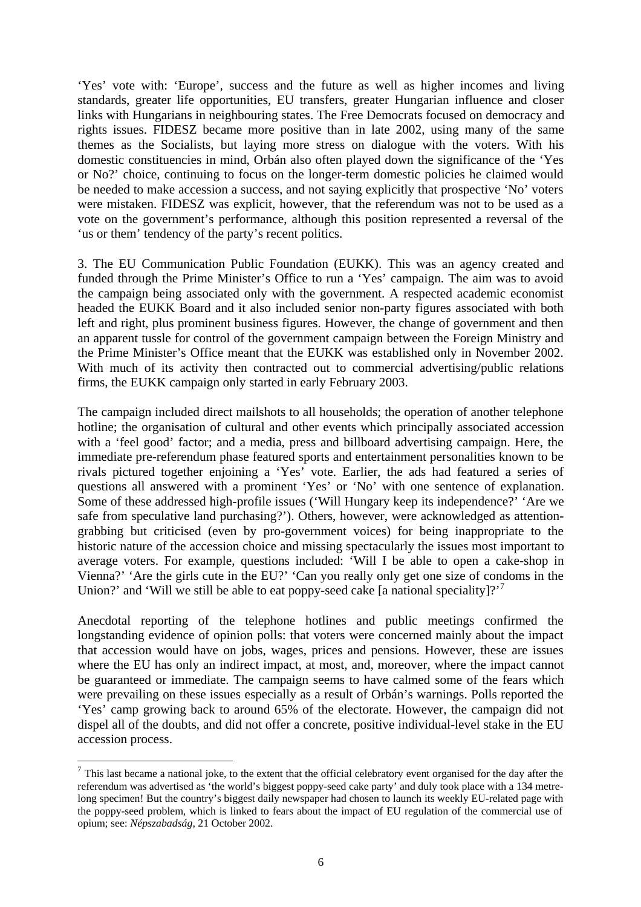'Yes' vote with: 'Europe', success and the future as well as higher incomes and living standards, greater life opportunities, EU transfers, greater Hungarian influence and closer links with Hungarians in neighbouring states. The Free Democrats focused on democracy and rights issues. FIDESZ became more positive than in late 2002, using many of the same themes as the Socialists, but laying more stress on dialogue with the voters. With his domestic constituencies in mind, Orbán also often played down the significance of the 'Yes or No?' choice, continuing to focus on the longer-term domestic policies he claimed would be needed to make accession a success, and not saying explicitly that prospective 'No' voters were mistaken. FIDESZ was explicit, however, that the referendum was not to be used as a vote on the government's performance, although this position represented a reversal of the 'us or them' tendency of the party's recent politics.

3. The EU Communication Public Foundation (EUKK). This was an agency created and funded through the Prime Minister's Office to run a 'Yes' campaign. The aim was to avoid the campaign being associated only with the government. A respected academic economist headed the EUKK Board and it also included senior non-party figures associated with both left and right, plus prominent business figures. However, the change of government and then an apparent tussle for control of the government campaign between the Foreign Ministry and the Prime Minister's Office meant that the EUKK was established only in November 2002. With much of its activity then contracted out to commercial advertising/public relations firms, the EUKK campaign only started in early February 2003.

The campaign included direct mailshots to all households; the operation of another telephone hotline; the organisation of cultural and other events which principally associated accession with a 'feel good' factor; and a media, press and billboard advertising campaign. Here, the immediate pre-referendum phase featured sports and entertainment personalities known to be rivals pictured together enjoining a 'Yes' vote. Earlier, the ads had featured a series of questions all answered with a prominent 'Yes' or 'No' with one sentence of explanation. Some of these addressed high-profile issues ('Will Hungary keep its independence?' 'Are we safe from speculative land purchasing?'). Others, however, were acknowledged as attentiongrabbing but criticised (even by pro-government voices) for being inappropriate to the historic nature of the accession choice and missing spectacularly the issues most important to average voters. For example, questions included: 'Will I be able to open a cake-shop in Vienna?' 'Are the girls cute in the EU?' 'Can you really only get one size of condoms in the Union?' and 'Will we still be able to eat poppy-seed cake [a national speciality]?'<sup>7</sup>

Anecdotal reporting of the telephone hotlines and public meetings confirmed the longstanding evidence of opinion polls: that voters were concerned mainly about the impact that accession would have on jobs, wages, prices and pensions. However, these are issues where the EU has only an indirect impact, at most, and, moreover, where the impact cannot be guaranteed or immediate. The campaign seems to have calmed some of the fears which were prevailing on these issues especially as a result of Orbán's warnings. Polls reported the 'Yes' camp growing back to around 65% of the electorate. However, the campaign did not dispel all of the doubts, and did not offer a concrete, positive individual-level stake in the EU accession process.

 $<sup>7</sup>$  This last became a national joke, to the extent that the official celebratory event organised for the day after the</sup> referendum was advertised as 'the world's biggest poppy-seed cake party' and duly took place with a 134 metrelong specimen! But the country's biggest daily newspaper had chosen to launch its weekly EU-related page with the poppy-seed problem, which is linked to fears about the impact of EU regulation of the commercial use of opium; see: *Népszabadság*, 21 October 2002.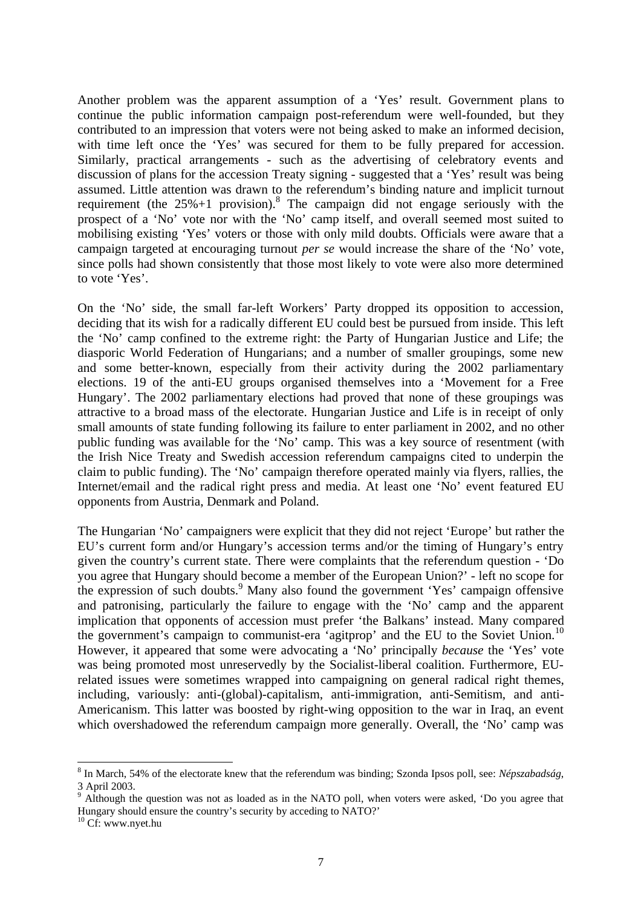Another problem was the apparent assumption of a 'Yes' result. Government plans to continue the public information campaign post-referendum were well-founded, but they contributed to an impression that voters were not being asked to make an informed decision, with time left once the 'Yes' was secured for them to be fully prepared for accession. Similarly, practical arrangements - such as the advertising of celebratory events and discussion of plans for the accession Treaty signing - suggested that a 'Yes' result was being assumed. Little attention was drawn to the referendum's binding nature and implicit turnout requirement (the  $25\% + 1$  provision).<sup>8</sup> The campaign did not engage seriously with the prospect of a 'No' vote nor with the 'No' camp itself, and overall seemed most suited to mobilising existing 'Yes' voters or those with only mild doubts. Officials were aware that a campaign targeted at encouraging turnout *per se* would increase the share of the 'No' vote, since polls had shown consistently that those most likely to vote were also more determined to vote 'Yes'.

On the 'No' side, the small far-left Workers' Party dropped its opposition to accession, deciding that its wish for a radically different EU could best be pursued from inside. This left the 'No' camp confined to the extreme right: the Party of Hungarian Justice and Life; the diasporic World Federation of Hungarians; and a number of smaller groupings, some new and some better-known, especially from their activity during the 2002 parliamentary elections. 19 of the anti-EU groups organised themselves into a 'Movement for a Free Hungary'. The 2002 parliamentary elections had proved that none of these groupings was attractive to a broad mass of the electorate. Hungarian Justice and Life is in receipt of only small amounts of state funding following its failure to enter parliament in 2002, and no other public funding was available for the 'No' camp. This was a key source of resentment (with the Irish Nice Treaty and Swedish accession referendum campaigns cited to underpin the claim to public funding). The 'No' campaign therefore operated mainly via flyers, rallies, the Internet/email and the radical right press and media. At least one 'No' event featured EU opponents from Austria, Denmark and Poland.

The Hungarian 'No' campaigners were explicit that they did not reject 'Europe' but rather the EU's current form and/or Hungary's accession terms and/or the timing of Hungary's entry given the country's current state. There were complaints that the referendum question - 'Do you agree that Hungary should become a member of the European Union?' - left no scope for the expression of such doubts.<sup>9</sup> Many also found the government 'Yes' campaign offensive and patronising, particularly the failure to engage with the 'No' camp and the apparent implication that opponents of accession must prefer 'the Balkans' instead. Many compared the government's campaign to communist-era 'agitprop' and the EU to the Soviet Union.<sup>10</sup> However, it appeared that some were advocating a 'No' principally *because* the 'Yes' vote was being promoted most unreservedly by the Socialist-liberal coalition. Furthermore, EUrelated issues were sometimes wrapped into campaigning on general radical right themes, including, variously: anti-(global)-capitalism, anti-immigration, anti-Semitism, and anti-Americanism. This latter was boosted by right-wing opposition to the war in Iraq, an event which overshadowed the referendum campaign more generally. Overall, the 'No' camp was

<sup>8</sup> In March, 54% of the electorate knew that the referendum was binding; Szonda Ipsos poll, see: *Népszabadság*, 3 April 2003.<br><sup>9</sup> Although th

Although the question was not as loaded as in the NATO poll, when voters were asked, 'Do you agree that Hungary should ensure the country's security by acceding to NATO?'

<sup>&</sup>lt;sup>10</sup> Cf: www.nyet.hu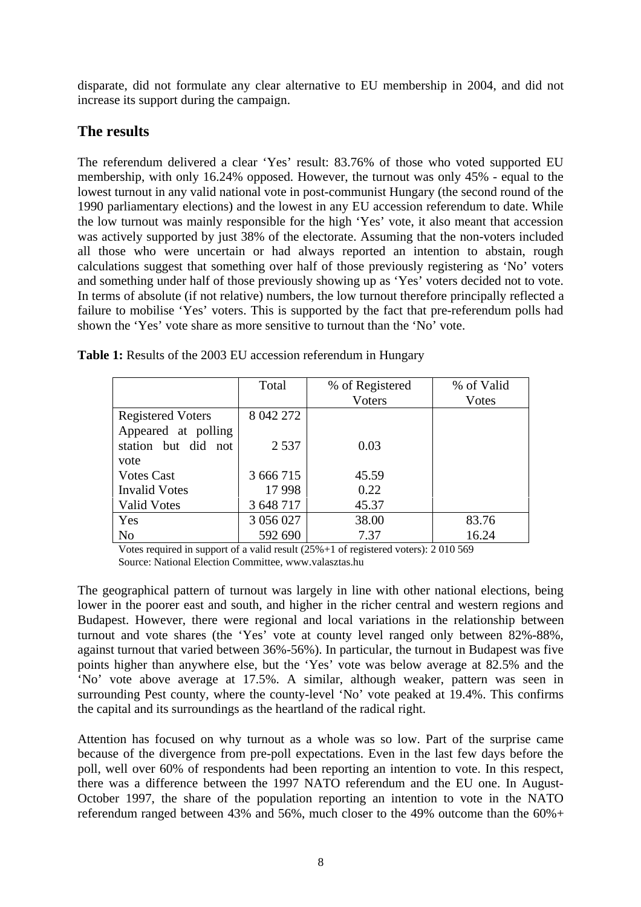disparate, did not formulate any clear alternative to EU membership in 2004, and did not increase its support during the campaign.

# **The results**

The referendum delivered a clear 'Yes' result: 83.76% of those who voted supported EU membership, with only 16.24% opposed. However, the turnout was only 45% - equal to the lowest turnout in any valid national vote in post-communist Hungary (the second round of the 1990 parliamentary elections) and the lowest in any EU accession referendum to date. While the low turnout was mainly responsible for the high 'Yes' vote, it also meant that accession was actively supported by just 38% of the electorate. Assuming that the non-voters included all those who were uncertain or had always reported an intention to abstain, rough calculations suggest that something over half of those previously registering as 'No' voters and something under half of those previously showing up as 'Yes' voters decided not to vote. In terms of absolute (if not relative) numbers, the low turnout therefore principally reflected a failure to mobilise 'Yes' voters. This is supported by the fact that pre-referendum polls had shown the 'Yes' vote share as more sensitive to turnout than the 'No' vote.

|                          | Total     | % of Registered | % of Valid |
|--------------------------|-----------|-----------------|------------|
|                          |           | Voters          | Votes      |
| <b>Registered Voters</b> | 8 042 272 |                 |            |
| Appeared at polling      |           |                 |            |
| station but did not      | 2 5 3 7   | 0.03            |            |
| vote                     |           |                 |            |
| <b>Votes Cast</b>        | 3 666 715 | 45.59           |            |
| <b>Invalid Votes</b>     | 17998     | 0.22            |            |
| <b>Valid Votes</b>       | 3 648 717 | 45.37           |            |
| Yes                      | 3 056 027 | 38.00           | 83.76      |
| N <sub>o</sub>           | 592 690   | 7.37            | 16.24      |

**Table 1:** Results of the 2003 EU accession referendum in Hungary

Votes required in support of a valid result (25%+1 of registered voters): 2 010 569 Source: National Election Committee, www.valasztas.hu

The geographical pattern of turnout was largely in line with other national elections, being lower in the poorer east and south, and higher in the richer central and western regions and Budapest. However, there were regional and local variations in the relationship between turnout and vote shares (the 'Yes' vote at county level ranged only between 82%-88%, against turnout that varied between 36%-56%). In particular, the turnout in Budapest was five points higher than anywhere else, but the 'Yes' vote was below average at 82.5% and the 'No' vote above average at 17.5%. A similar, although weaker, pattern was seen in surrounding Pest county, where the county-level 'No' vote peaked at 19.4%. This confirms the capital and its surroundings as the heartland of the radical right.

Attention has focused on why turnout as a whole was so low. Part of the surprise came because of the divergence from pre-poll expectations. Even in the last few days before the poll, well over 60% of respondents had been reporting an intention to vote. In this respect, there was a difference between the 1997 NATO referendum and the EU one. In August-October 1997, the share of the population reporting an intention to vote in the NATO referendum ranged between 43% and 56%, much closer to the 49% outcome than the 60%+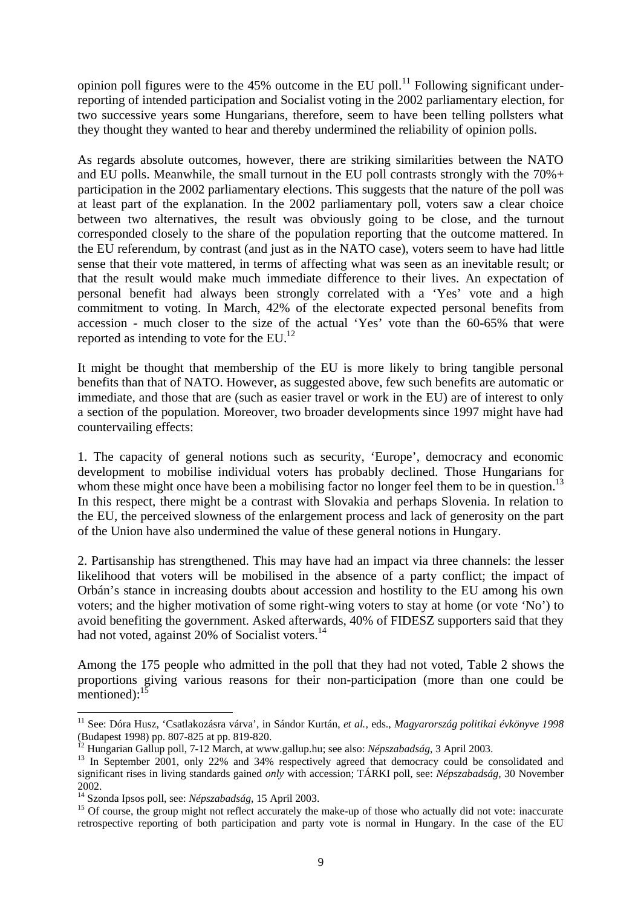opinion poll figures were to the  $45\%$  outcome in the EU poll.<sup>11</sup> Following significant underreporting of intended participation and Socialist voting in the 2002 parliamentary election, for two successive years some Hungarians, therefore, seem to have been telling pollsters what they thought they wanted to hear and thereby undermined the reliability of opinion polls.

As regards absolute outcomes, however, there are striking similarities between the NATO and EU polls. Meanwhile, the small turnout in the EU poll contrasts strongly with the  $70\%$ + participation in the 2002 parliamentary elections. This suggests that the nature of the poll was at least part of the explanation. In the 2002 parliamentary poll, voters saw a clear choice between two alternatives, the result was obviously going to be close, and the turnout corresponded closely to the share of the population reporting that the outcome mattered. In the EU referendum, by contrast (and just as in the NATO case), voters seem to have had little sense that their vote mattered, in terms of affecting what was seen as an inevitable result; or that the result would make much immediate difference to their lives. An expectation of personal benefit had always been strongly correlated with a 'Yes' vote and a high commitment to voting. In March, 42% of the electorate expected personal benefits from accession - much closer to the size of the actual 'Yes' vote than the 60-65% that were reported as intending to vote for the  $EU^{12}$ .

It might be thought that membership of the EU is more likely to bring tangible personal benefits than that of NATO. However, as suggested above, few such benefits are automatic or immediate, and those that are (such as easier travel or work in the EU) are of interest to only a section of the population. Moreover, two broader developments since 1997 might have had countervailing effects:

1. The capacity of general notions such as security, 'Europe', democracy and economic development to mobilise individual voters has probably declined. Those Hungarians for whom these might once have been a mobilising factor no longer feel them to be in question.<sup>13</sup> In this respect, there might be a contrast with Slovakia and perhaps Slovenia. In relation to the EU, the perceived slowness of the enlargement process and lack of generosity on the part of the Union have also undermined the value of these general notions in Hungary.

2. Partisanship has strengthened. This may have had an impact via three channels: the lesser likelihood that voters will be mobilised in the absence of a party conflict; the impact of Orbán's stance in increasing doubts about accession and hostility to the EU among his own voters; and the higher motivation of some right-wing voters to stay at home (or vote 'No') to avoid benefiting the government. Asked afterwards, 40% of FIDESZ supporters said that they had not voted, against 20% of Socialist voters.<sup>14</sup>

Among the 175 people who admitted in the poll that they had not voted, Table 2 shows the proportions giving various reasons for their non-participation (more than one could be mentioned): $1<sup>3</sup>$ 

<sup>11</sup> See: Dóra Husz, 'Csatlakozásra várva', in Sándor Kurtán, *et al.*, eds., *Magyarország politikai évkönyve 1998* (Budapest 1998) pp. 807-825 at pp. 819-820.<br><sup>12</sup> Hungarian Gallup poll, 7-12 March, at www.gallup.hu; see also: *Népszabadság*, 3 April 2003.

<sup>&</sup>lt;sup>13</sup> In September 2001, only 22% and 34% respectively agreed that democracy could be consolidated and significant rises in living standards gained *only* with accession; TÁRKI poll, see: *Népszabadság*, 30 November 2002.<br><sup>14</sup> Szonda Ipsos poll, see: *Népszabadság*, 15 April 2003.

<sup>&</sup>lt;sup>15</sup> Of course, the group might not reflect accurately the make-up of those who actually did not vote: inaccurate retrospective reporting of both participation and party vote is normal in Hungary. In the case of the EU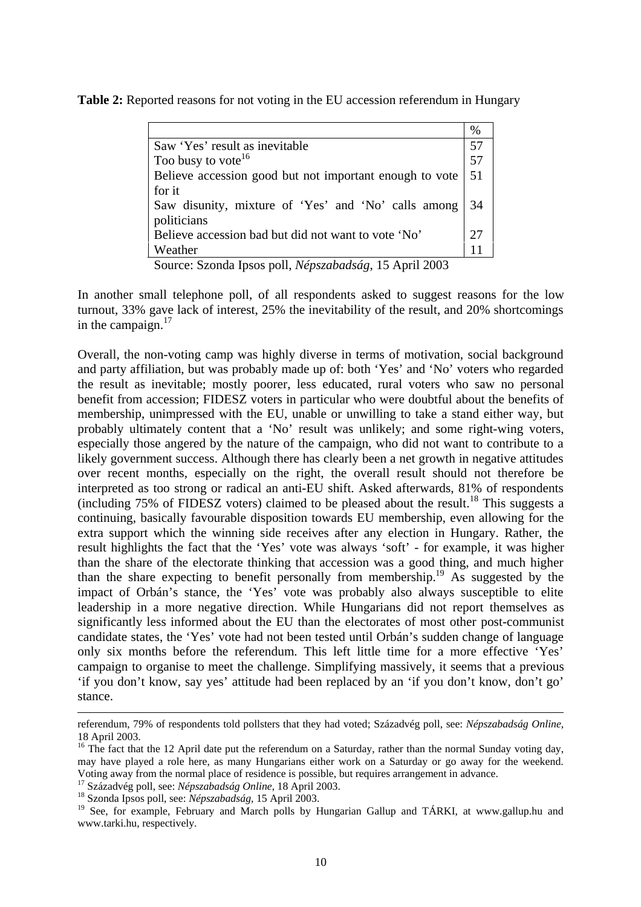| Table 2: Reported reasons for not voting in the EU accession referendum in Hungary |  |  |  |  |  |
|------------------------------------------------------------------------------------|--|--|--|--|--|
|------------------------------------------------------------------------------------|--|--|--|--|--|

| Saw 'Yes' result as inevitable                          |    |  |
|---------------------------------------------------------|----|--|
| Too busy to vote <sup>16</sup>                          |    |  |
| Believe accession good but not important enough to vote |    |  |
| for it                                                  |    |  |
| Saw disunity, mixture of 'Yes' and 'No' calls among     | 34 |  |
| politicians                                             |    |  |
| Believe accession bad but did not want to vote 'No'     |    |  |
| Weather                                                 |    |  |

Source: Szonda Ipsos poll, *Népszabadság*, 15 April 2003

In another small telephone poll, of all respondents asked to suggest reasons for the low turnout, 33% gave lack of interest, 25% the inevitability of the result, and 20% shortcomings in the campaign. $17$ 

Overall, the non-voting camp was highly diverse in terms of motivation, social background and party affiliation, but was probably made up of: both 'Yes' and 'No' voters who regarded the result as inevitable; mostly poorer, less educated, rural voters who saw no personal benefit from accession; FIDESZ voters in particular who were doubtful about the benefits of membership, unimpressed with the EU, unable or unwilling to take a stand either way, but probably ultimately content that a 'No' result was unlikely; and some right-wing voters, especially those angered by the nature of the campaign, who did not want to contribute to a likely government success. Although there has clearly been a net growth in negative attitudes over recent months, especially on the right, the overall result should not therefore be interpreted as too strong or radical an anti-EU shift. Asked afterwards, 81% of respondents (including 75% of FIDESZ voters) claimed to be pleased about the result.<sup>18</sup> This suggests a continuing, basically favourable disposition towards EU membership, even allowing for the extra support which the winning side receives after any election in Hungary. Rather, the result highlights the fact that the 'Yes' vote was always 'soft' - for example, it was higher than the share of the electorate thinking that accession was a good thing, and much higher than the share expecting to benefit personally from membership.19 As suggested by the impact of Orbán's stance, the 'Yes' vote was probably also always susceptible to elite leadership in a more negative direction. While Hungarians did not report themselves as significantly less informed about the EU than the electorates of most other post-communist candidate states, the 'Yes' vote had not been tested until Orbán's sudden change of language only six months before the referendum. This left little time for a more effective 'Yes' campaign to organise to meet the challenge. Simplifying massively, it seems that a previous 'if you don't know, say yes' attitude had been replaced by an 'if you don't know, don't go' stance.

referendum, 79% of respondents told pollsters that they had voted; Századvég poll, see: *Népszabadság Online*, 18 April 2003.

<sup>&</sup>lt;sup>16</sup> The fact that the 12 April date put the referendum on a Saturday, rather than the normal Sunday voting day, may have played a role here, as many Hungarians either work on a Saturday or go away for the weekend. Voting away from the normal place of residence is possible, but requires arrangement in advance.<br><sup>17</sup> Századvég poll, see: *Népszabadság Online*, 18 April 2003.

<sup>&</sup>lt;sup>18</sup> Szonda Ipsos poll, see: *Népszabadság*, 15 April 2003.

<sup>&</sup>lt;sup>19</sup> See, for example, February and March polls by Hungarian Gallup and TÁRKI, at www.gallup.hu and www.tarki.hu, respectively.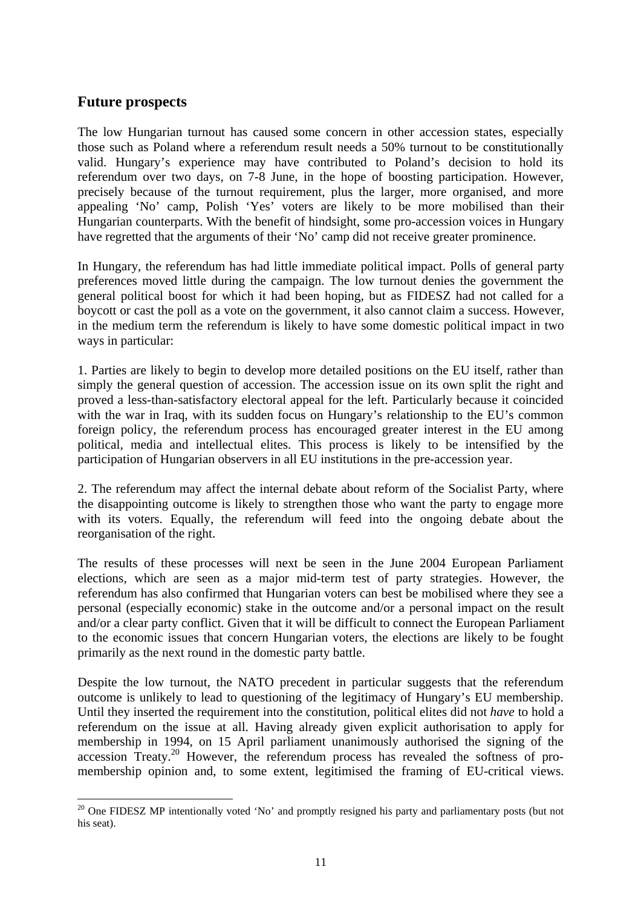#### **Future prospects**

 $\overline{a}$ 

The low Hungarian turnout has caused some concern in other accession states, especially those such as Poland where a referendum result needs a 50% turnout to be constitutionally valid. Hungary's experience may have contributed to Poland's decision to hold its referendum over two days, on 7-8 June, in the hope of boosting participation. However, precisely because of the turnout requirement, plus the larger, more organised, and more appealing 'No' camp, Polish 'Yes' voters are likely to be more mobilised than their Hungarian counterparts. With the benefit of hindsight, some pro-accession voices in Hungary have regretted that the arguments of their 'No' camp did not receive greater prominence.

In Hungary, the referendum has had little immediate political impact. Polls of general party preferences moved little during the campaign. The low turnout denies the government the general political boost for which it had been hoping, but as FIDESZ had not called for a boycott or cast the poll as a vote on the government, it also cannot claim a success. However, in the medium term the referendum is likely to have some domestic political impact in two ways in particular:

1. Parties are likely to begin to develop more detailed positions on the EU itself, rather than simply the general question of accession. The accession issue on its own split the right and proved a less-than-satisfactory electoral appeal for the left. Particularly because it coincided with the war in Iraq, with its sudden focus on Hungary's relationship to the EU's common foreign policy, the referendum process has encouraged greater interest in the EU among political, media and intellectual elites. This process is likely to be intensified by the participation of Hungarian observers in all EU institutions in the pre-accession year.

2. The referendum may affect the internal debate about reform of the Socialist Party, where the disappointing outcome is likely to strengthen those who want the party to engage more with its voters. Equally, the referendum will feed into the ongoing debate about the reorganisation of the right.

The results of these processes will next be seen in the June 2004 European Parliament elections, which are seen as a major mid-term test of party strategies. However, the referendum has also confirmed that Hungarian voters can best be mobilised where they see a personal (especially economic) stake in the outcome and/or a personal impact on the result and/or a clear party conflict. Given that it will be difficult to connect the European Parliament to the economic issues that concern Hungarian voters, the elections are likely to be fought primarily as the next round in the domestic party battle.

Despite the low turnout, the NATO precedent in particular suggests that the referendum outcome is unlikely to lead to questioning of the legitimacy of Hungary's EU membership. Until they inserted the requirement into the constitution, political elites did not *have* to hold a referendum on the issue at all. Having already given explicit authorisation to apply for membership in 1994, on 15 April parliament unanimously authorised the signing of the accession Treaty.20 However, the referendum process has revealed the softness of promembership opinion and, to some extent, legitimised the framing of EU-critical views.

<sup>&</sup>lt;sup>20</sup> One FIDESZ MP intentionally voted 'No' and promptly resigned his party and parliamentary posts (but not his seat).